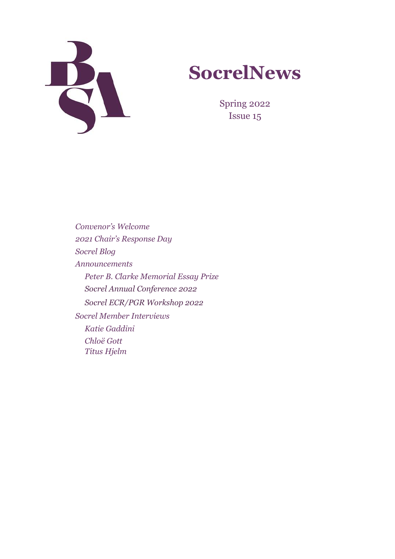



Spring 2022 Issue 15

*Convenor's Welcome 2021 Chair's Response Day Socrel Blog Announcements Peter B. Clarke Memorial Essay Prize Socrel Annual Conference 2022 Socrel ECR/PGR Workshop 2022 Socrel Member Interviews Katie Gaddini Chloë Gott Titus Hjelm*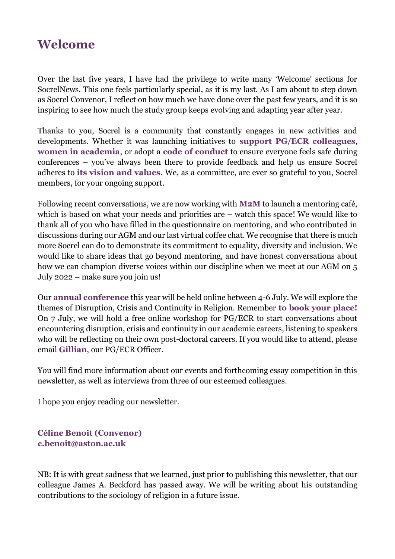# **Welcome**

Over the last five years, I have had the privilege to write many 'Welcome' sections for SocrelNews. This one feels particularly special, as it is my last. As I am about to step down as Socrel Convenor, I reflect on how much we have done over the past few years, and it is so inspiring to see how much the study group keeps evolving and adapting year after year.

Thanks to you, Socrel is a community that constantly engages in new activities and developments. Whether it was launching initiatives to **[support PG/ECR colleagues](https://www.britsoc.co.uk/groups/study-groups/sociology-of-religion-study-group/funding/)**, **[women in academia](https://www.britsoc.co.uk/groups/study-groups/sociology-of-religion-study-group/mentoring/)**, or adopt a **[code of conduct](https://www.britsoc.co.uk/media/25185/charity-ethical-principles.pdf)** to ensure everyone feels safe during conferences – you've always been there to provide feedback and help us ensure Socrel adheres to **[its vision and values](https://www.britsoc.co.uk/groups/study-groups/sociology-of-religion-study-group/)**. We, as a committee, are ever so grateful to you, Socrel members, for your ongoing support.

Following recent conversations, we are now working with **[M2M](https://misogynoir2mishpat.com/)** to launch a mentoring café, which is based on what your needs and priorities are – watch this space! We would like to thank all of you who have filled in the questionnaire on mentoring, and who contributed in discussions during our AGM and our last virtual coffee chat. We recognise that there is much more Socrel can do to demonstrate its commitment to equality, diversity and inclusion. We would like to share ideas that go beyond mentoring, and have honest conversations about how we can champion diverse voices within our discipline when we meet at our AGM on 5 July 2022 – make sure you join us!

Our **[annual conference](https://www.britsoc.co.uk/groups/study-groups/sociology-of-religion-study-group/events/)** this year will be held online between 4-6 July. We will explore the themes of Disruption, Crisis and Continuity in Religion. Remember **to [book your place!](https://www.britsoc.co.uk/login?returnurl=%2Fevents%2Fkey-bsa-events%2Fsocrel-annual-conference-2022-theme-disruption-crisis-and-continuity-in-religion%2Fbooking%2F)** On 7 July, we will hold a free online workshop for PG/ECR to start conversations about encountering disruption, crisis and continuity in our academic careers, listening to speakers who will be reflecting on their own post-doctoral careers. If you would like to attend, please email **[Gillian](mailto:agc22@st-andrews.ac.uk)**, our PG/ECR Officer.

You will find more information about our events and forthcoming essay competition in this newsletter, as well as interviews from three of our esteemed colleagues.

I hope you enjoy reading our newsletter.

**Céline Benoit (Convenor) [c.benoit@aston.ac.uk](mailto:c.benoit@aston.ac.uk)**

NB: It is with great sadness that we learned, just prior to publishing this newsletter, that our colleague James A. Beckford has passed away. We will be writing about his outstanding contributions to the sociology of religion in a future issue.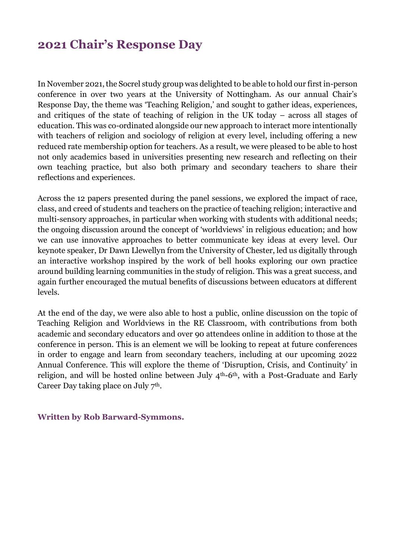# **2021 Chair's Response Day**

In November 2021, the Socrel study group was delighted to be able to hold our first in-person conference in over two years at the University of Nottingham. As our annual Chair's Response Day, the theme was 'Teaching Religion,' and sought to gather ideas, experiences, and critiques of the state of teaching of religion in the UK today – across all stages of education. This was co-ordinated alongside our new approach to interact more intentionally with teachers of religion and sociology of religion at every level, including offering a new reduced rate membership option for teachers. As a result, we were pleased to be able to host not only academics based in universities presenting new research and reflecting on their own teaching practice, but also both primary and secondary teachers to share their reflections and experiences.

Across the 12 papers presented during the panel sessions, we explored the impact of race, class, and creed of students and teachers on the practice of teaching religion; interactive and multi-sensory approaches, in particular when working with students with additional needs; the ongoing discussion around the concept of 'worldviews' in religious education; and how we can use innovative approaches to better communicate key ideas at every level. Our keynote speaker, Dr Dawn Llewellyn from the University of Chester, led us digitally through an interactive workshop inspired by the work of bell hooks exploring our own practice around building learning communities in the study of religion. This was a great success, and again further encouraged the mutual benefits of discussions between educators at different levels.

At the end of the day, we were also able to host a public, online discussion on the topic of Teaching Religion and Worldviews in the RE Classroom, with contributions from both academic and secondary educators and over 90 attendees online in addition to those at the conference in person. This is an element we will be looking to repeat at future conferences in order to engage and learn from secondary teachers, including at our upcoming 2022 Annual Conference. This will explore the theme of 'Disruption, Crisis, and Continuity' in religion, and will be hosted online between July 4th-6th, with a Post-Graduate and Early Career Day taking place on July 7<sup>th</sup>.

## **Written by Rob Barward-Symmons.**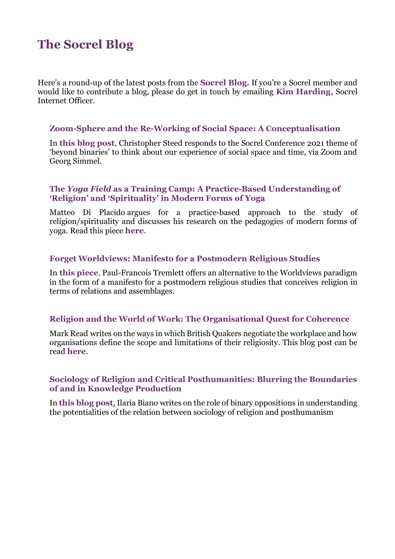# **The Socrel Blog**

Here's a round-up of the latest posts from the **[Socrel Blog.](https://socrel.medium.com/)** If you're a Socrel member and would like to contribute a blog, please do get in touch by emailing **[Kim Harding,](khard001@gold.ac.uk)** Socrel Internet Officer.

## **Zoom-Sphere and the Re-Working of Social Space: A Conceptualisation**

In **[this blog post](https://socrel.medium.com/zoom-sphere-and-the-re-working-of-social-space-a-conceptualisation-ad7bdb7229ad)**, Christopher Steed responds to the Socrel Conference 2021 theme of 'beyond binaries' to think about our experience of social space and time, via Zoom and Georg Simmel.

## **The** *Yoga Field* **as a Training Camp: A Practice-Based Understanding of 'Religion' and 'Spirituality' in Modern Forms of Yoga**

Matteo Di Placido argues for a practice-based approach to the study of religion/spirituality and discusses his research on the pedagogies of modern forms of yoga. Read this piece **[here](https://socrel.medium.com/the-yoga-field-as-a-training-camp-a-practice-based-understanding-of-religion-and-spirituality-c144534331ef)**.

## **Forget Worldviews: Manifesto for a Postmodern Religious Studies**

In **[this piece](https://socrel.medium.com/forget-worldviews-manifesto-for-a-postmodern-religious-studies-85fbcf061b74)**, Paul-Francois Tremlett offers an alternative to the Worldviews paradigm in the form of a manifesto for a postmodern religious studies that conceives religion in terms of relations and assemblages.

## **Religion and the World of Work: The Organisational Quest for Coherence**

Mark Read writes on the ways in which British Quakers negotiate the workplace and how organisations define the scope and limitations of their religiosity. This blog post can be read **[here](https://socrel.medium.com/religion-and-the-world-of-work-the-organisational-quest-for-coherence-cb498bc42189)**.

## **Sociology of Religion and Critical Posthumanities: Blurring the Boundaries of and in Knowledge Production**

In **[this blog post](https://socrel.medium.com/sociology-of-religion-and-critical-posthumanities-blurring-the-boundaries-of-and-in-knowledge-acad11129532)**, Ilaria Biano writes on the role of binary oppositions in understanding the potentialities of the relation between sociology of religion and posthumanism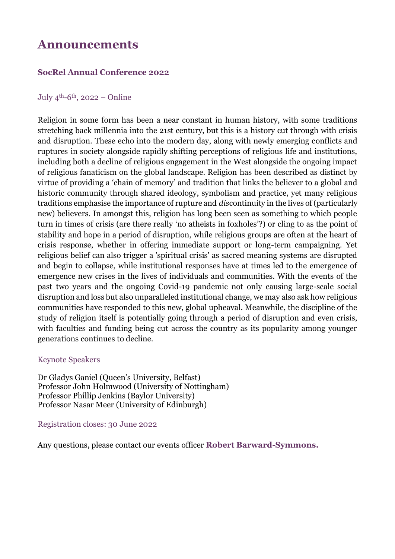## **Announcements**

## **SocRel Annual Conference 2022**

### July  $4<sup>th</sup> - 6<sup>th</sup>$ , 2022 – Online

Religion in some form has been a near constant in human history, with some traditions stretching back millennia into the 21st century, but this is a history cut through with crisis and disruption. These echo into the modern day, along with newly emerging conflicts and ruptures in society alongside rapidly shifting perceptions of religious life and institutions, including both a decline of religious engagement in the West alongside the ongoing impact of religious fanaticism on the global landscape. Religion has been described as distinct by virtue of providing a 'chain of memory' and tradition that links the believer to a global and historic community through shared ideology, symbolism and practice, yet many religious traditions emphasise the importance of rupture and *dis*continuity in the lives of (particularly new) believers. In amongst this, religion has long been seen as something to which people turn in times of crisis (are there really 'no atheists in foxholes'?) or cling to as the point of stability and hope in a period of disruption, while religious groups are often at the heart of crisis response, whether in offering immediate support or long-term campaigning. Yet religious belief can also trigger a 'spiritual crisis' as sacred meaning systems are disrupted and begin to collapse, while institutional responses have at times led to the emergence of emergence new crises in the lives of individuals and communities. With the events of the past two years and the ongoing Covid-19 pandemic not only causing large-scale social disruption and loss but also unparalleled institutional change, we may also ask how religious communities have responded to this new, global upheaval. Meanwhile, the discipline of the study of religion itself is potentially going through a period of disruption and even crisis, with faculties and funding being cut across the country as its popularity among younger generations continues to decline.

## Keynote Speakers

Dr Gladys Ganiel (Queen's University, Belfast) Professor John Holmwood (University of Nottingham) Professor Phillip Jenkins (Baylor University) Professor Nasar Meer (University of Edinburgh)

#### Registration closes: 30 June 2022

Any questions, please contact our events officer **[Robert Barward-Symmons.](rob.barward-symmons@york.ac.uk)**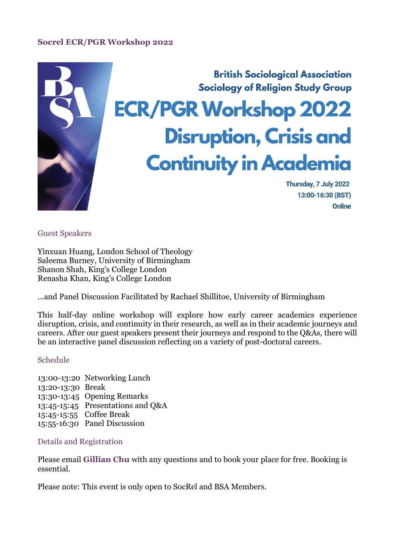## **Socrel ECR/PGR Workshop 2022**



Guest Speakers

Yinxuan Huang, London School of Theology Saleema Burney, University of Birmingham Shanon Shah, King's College London Renasha Khan, King's College London

...and Panel Discussion Facilitated by Rachael Shillitoe, University of Birmingham

This half-day online workshop will explore how early career academics experience disruption, crisis, and continuity in their research, as well as in their academic journeys and careers. After our guest speakers present their journeys and respond to the Q&As, there will be an interactive panel discussion reflecting on a variety of post-doctoral careers.

#### Schedule

13:00-13:20 Networking Lunch 13:20-13:30 Break 13:30-13:45 Opening Remarks 13:45-15:45 Presentations and Q&A 15:45-15:55 Coffee Break 15:55-16:30 Panel Discussion

#### Details and Registration

Please email **[Gillian Chu](agc22@st-andrews.ac.uk)** with any questions and to book your place for free. Booking is essential.

Please note: This event is only open to SocRel and BSA Members.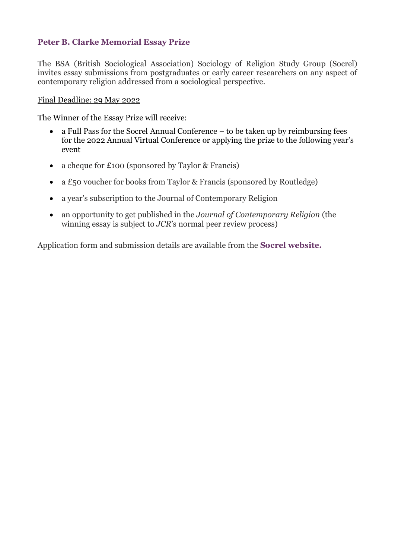## **Peter B. Clarke Memorial Essay Prize**

The BSA (British Sociological Association) Sociology of Religion Study Group (Socrel) invites essay submissions from postgraduates or early career researchers on any aspect of contemporary religion addressed from a sociological perspective.

## Final Deadline: 29 May 2022

The Winner of the Essay Prize will receive:

- a Full Pass for the Socrel Annual Conference to be taken up by reimbursing fees for the 2022 Annual Virtual Conference or applying the prize to the following year's event
- a cheque for £100 (sponsored by Taylor & Francis)
- a £50 voucher for books from Taylor & Francis (sponsored by Routledge)
- a year's subscription to the Journal of Contemporary Religion
- an opportunity to get published in the *Journal of Contemporary Religion* (the winning essay is subject to *JCR*'s normal peer review process)

Application form and submission details are available from the **[Socrel website.](https://www.britsoc.co.uk/groups/study-groups/sociology-of-religion-study-group/funding/)**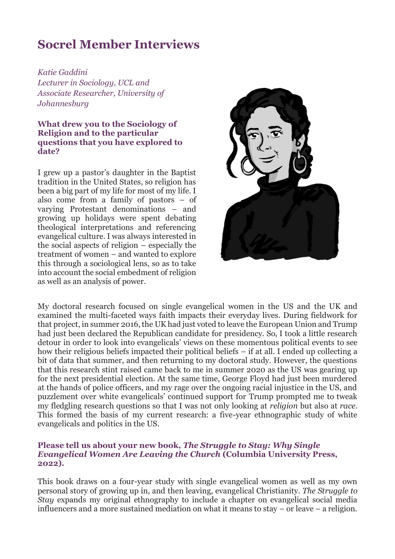# **Socrel Member Interviews**

*Katie Gaddini Lecturer in Sociology, UCL and Associate Researcher, University of Johannesburg*

### **What drew you to the Sociology of Religion and to the particular questions that you have explored to date?**

I grew up a pastor's daughter in the Baptist tradition in the United States, so religion has been a big part of my life for most of my life. I also come from a family of pastors – of varying Protestant denominations – and growing up holidays were spent debating theological interpretations and referencing evangelical culture. I was always interested in the social aspects of religion – especially the treatment of women – and wanted to explore this through a sociological lens, so as to take into account the social embedment of religion as well as an analysis of power.



My doctoral research focused on single evangelical women in the US and the UK and examined the multi-faceted ways faith impacts their everyday lives. During fieldwork for that project, in summer 2016, the UK had just voted to leave the European Union and Trump had just been declared the Republican candidate for presidency. So, I took a little research detour in order to look into evangelicals' views on these momentous political events to see how their religious beliefs impacted their political beliefs – if at all. I ended up collecting a bit of data that summer, and then returning to my doctoral study. However, the questions that this research stint raised came back to me in summer 2020 as the US was gearing up for the next presidential election. At the same time, George Floyd had just been murdered at the hands of police officers, and my rage over the ongoing racial injustice in the US, and puzzlement over white evangelicals' continued support for Trump prompted me to tweak my fledgling research questions so that I was not only looking at *religion* but also at *race*. This formed the basis of my current research: a five-year ethnographic study of white evangelicals and politics in the US.

### **Please tell us about your new book,** *The Struggle to Stay: Why Single Evangelical Women Are Leaving the Church* **(Columbia University Press, 2022).**

This book draws on a four-year study with single evangelical women as well as my own personal story of growing up in, and then leaving, evangelical Christianity. *The Struggle to Stay* expands my original ethnography to include a chapter on evangelical social media influencers and a more sustained mediation on what it means to stay – or leave – a religion.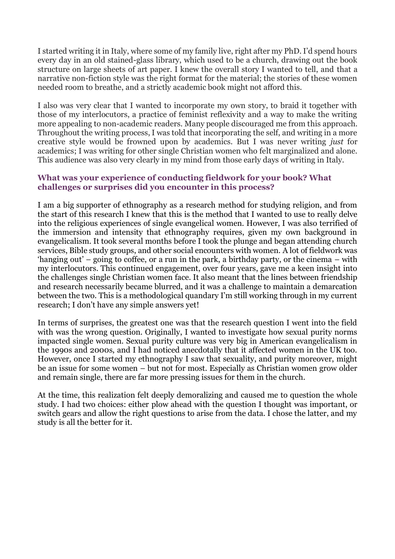I started writing it in Italy, where some of my family live, right after my PhD. I'd spend hours every day in an old stained-glass library, which used to be a church, drawing out the book structure on large sheets of art paper. I knew the overall story I wanted to tell, and that a narrative non-fiction style was the right format for the material; the stories of these women needed room to breathe, and a strictly academic book might not afford this.

I also was very clear that I wanted to incorporate my own story, to braid it together with those of my interlocutors, a practice of feminist reflexivity and a way to make the writing more appealing to non-academic readers. Many people discouraged me from this approach. Throughout the writing process, I was told that incorporating the self, and writing in a more creative style would be frowned upon by academics. But I was never writing *just* for academics; I was writing for other single Christian women who felt marginalized and alone. This audience was also very clearly in my mind from those early days of writing in Italy.

## **What was your experience of conducting fieldwork for your book? What challenges or surprises did you encounter in this process?**

I am a big supporter of ethnography as a research method for studying religion, and from the start of this research I knew that this is the method that I wanted to use to really delve into the religious experiences of single evangelical women. However, I was also terrified of the immersion and intensity that ethnography requires, given my own background in evangelicalism. It took several months before I took the plunge and began attending church services, Bible study groups, and other social encounters with women. A lot of fieldwork was 'hanging out' – going to coffee, or a run in the park, a birthday party, or the cinema – with my interlocutors. This continued engagement, over four years, gave me a keen insight into the challenges single Christian women face. It also meant that the lines between friendship and research necessarily became blurred, and it was a challenge to maintain a demarcation between the two. This is a methodological quandary I'm still working through in my current research; I don't have any simple answers yet!

In terms of surprises, the greatest one was that the research question I went into the field with was the wrong question. Originally, I wanted to investigate how sexual purity norms impacted single women. Sexual purity culture was very big in American evangelicalism in the 1990s and 2000s, and I had noticed anecdotally that it affected women in the UK too. However, once I started my ethnography I saw that sexuality, and purity moreover, might be an issue for some women – but not for most. Especially as Christian women grow older and remain single, there are far more pressing issues for them in the church.

At the time, this realization felt deeply demoralizing and caused me to question the whole study. I had two choices: either plow ahead with the question I thought was important, or switch gears and allow the right questions to arise from the data. I chose the latter, and my study is all the better for it.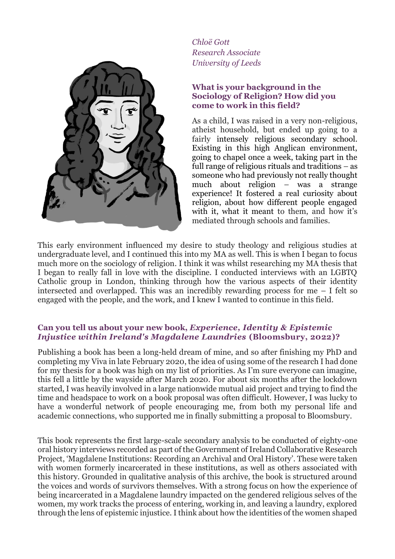

*Chloë Gott Research Associate University of Leeds*

## **What is your background in the Sociology of Religion? How did you come to work in this field?**

As a child, I was raised in a very non-religious, atheist household, but ended up going to a fairly intensely religious secondary school. Existing in this high Anglican environment, going to chapel once a week, taking part in the full range of religious rituals and traditions – as someone who had previously not really thought much about religion – was a strange experience! It fostered a real curiosity about religion, about how different people engaged with it, what it meant to them, and how it's mediated through schools and families.

This early environment influenced my desire to study theology and religious studies at undergraduate level, and I continued this into my MA as well. This is when I began to focus much more on the sociology of religion. I think it was whilst researching my MA thesis that I began to really fall in love with the discipline. I conducted interviews with an LGBTQ Catholic group in London, thinking through how the various aspects of their identity intersected and overlapped. This was an incredibly rewarding process for me – I felt so engaged with the people, and the work, and I knew I wanted to continue in this field.

## **Can you tell us about your new book,** *Experience, Identity & Epistemic Injustice within Ireland's Magdalene Laundries* **(Bloomsbury, 2022)?**

Publishing a book has been a long-held dream of mine, and so after finishing my PhD and completing my Viva in late February 2020, the idea of using some of the research I had done for my thesis for a book was high on my list of priorities. As I'm sure everyone can imagine, this fell a little by the wayside after March 2020. For about six months after the lockdown started, I was heavily involved in a large nationwide mutual aid project and trying to find the time and headspace to work on a book proposal was often difficult. However, I was lucky to have a wonderful network of people encouraging me, from both my personal life and academic connections, who supported me in finally submitting a proposal to Bloomsbury.

This book represents the first large-scale secondary analysis to be conducted of eighty-one oral history interviews recorded as part of the Government of Ireland Collaborative Research Project, 'Magdalene Institutions: Recording an Archival and Oral History'. These were taken with women formerly incarcerated in these institutions, as well as others associated with this history. Grounded in qualitative analysis of this archive, the book is structured around the voices and words of survivors themselves. With a strong focus on how the experience of being incarcerated in a Magdalene laundry impacted on the gendered religious selves of the women, my work tracks the process of entering, working in, and leaving a laundry, explored through the lens of epistemic injustice. I think about how the identities of the women shaped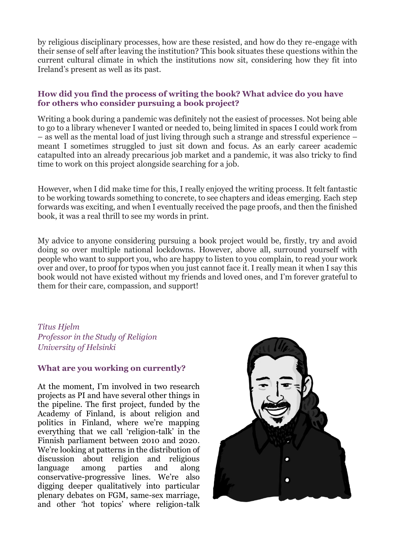by religious disciplinary processes, how are these resisted, and how do they re-engage with their sense of self after leaving the institution? This book situates these questions within the current cultural climate in which the institutions now sit, considering how they fit into Ireland's present as well as its past.

## **How did you find the process of writing the book? What advice do you have for others who consider pursuing a book project?**

Writing a book during a pandemic was definitely not the easiest of processes. Not being able to go to a library whenever I wanted or needed to, being limited in spaces I could work from – as well as the mental load of just living through such a strange and stressful experience – meant I sometimes struggled to just sit down and focus. As an early career academic catapulted into an already precarious job market and a pandemic, it was also tricky to find time to work on this project alongside searching for a job.

However, when I did make time for this, I really enjoyed the writing process. It felt fantastic to be working towards something to concrete, to see chapters and ideas emerging. Each step forwards was exciting, and when I eventually received the page proofs, and then the finished book, it was a real thrill to see my words in print.

My advice to anyone considering pursuing a book project would be, firstly, try and avoid doing so over multiple national lockdowns. However, above all, surround yourself with people who want to support you, who are happy to listen to you complain, to read your work over and over, to proof for typos when you just cannot face it. I really mean it when I say this book would not have existed without my friends and loved ones, and I'm forever grateful to them for their care, compassion, and support!

*Titus Hjelm Professor in the Study of Religion University of Helsinki*

## **What are you working on currently?**

At the moment, I'm involved in two research projects as PI and have several other things in the pipeline. The first project, funded by the Academy of Finland, is about religion and politics in Finland, where we're mapping everything that we call 'religion-talk' in the Finnish parliament between 2010 and 2020. We're looking at patterns in the distribution of discussion about religion and religious language among parties and along conservative-progressive lines. We're also digging deeper qualitatively into particular plenary debates on FGM, same-sex marriage, and other 'hot topics' where religion-talk

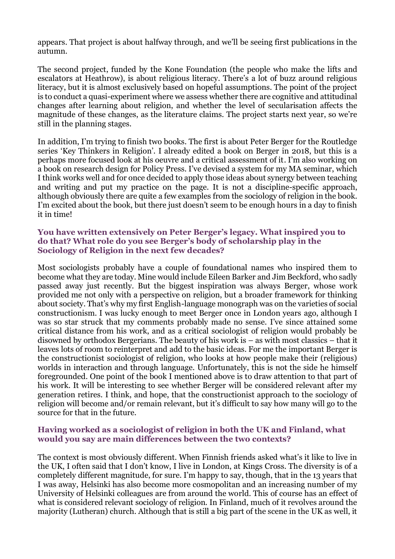appears. That project is about halfway through, and we'll be seeing first publications in the autumn.

The second project, funded by the Kone Foundation (the people who make the lifts and escalators at Heathrow), is about religious literacy. There's a lot of buzz around religious literacy, but it is almost exclusively based on hopeful assumptions. The point of the project is to conduct a quasi-experiment where we assess whether there are cognitive and attitudinal changes after learning about religion, and whether the level of secularisation affects the magnitude of these changes, as the literature claims. The project starts next year, so we're still in the planning stages.

In addition, I'm trying to finish two books. The first is about Peter Berger for the Routledge series 'Key Thinkers in Religion'. I already edited a book on Berger in 2018, but this is a perhaps more focused look at his oeuvre and a critical assessment of it. I'm also working on a book on research design for Policy Press. I've devised a system for my MA seminar, which I think works well and for once decided to apply those ideas about synergy between teaching and writing and put my practice on the page. It is not a discipline-specific approach, although obviously there are quite a few examples from the sociology of religion in the book. I'm excited about the book, but there just doesn't seem to be enough hours in a day to finish it in time!

## **You have written extensively on Peter Berger's legacy. What inspired you to do that? What role do you see Berger's body of scholarship play in the Sociology of Religion in the next few decades?**

Most sociologists probably have a couple of foundational names who inspired them to become what they are today. Mine would include Eileen Barker and Jim Beckford, who sadly passed away just recently. But the biggest inspiration was always Berger, whose work provided me not only with a perspective on religion, but a broader framework for thinking about society. That's why my first English-language monograph was on the varieties of social constructionism. I was lucky enough to meet Berger once in London years ago, although I was so star struck that my comments probably made no sense. I've since attained some critical distance from his work, and as a critical sociologist of religion would probably be disowned by orthodox Bergerians. The beauty of his work is – as with most classics – that it leaves lots of room to reinterpret and add to the basic ideas. For me the important Berger is the constructionist sociologist of religion, who looks at how people make their (religious) worlds in interaction and through language. Unfortunately, this is not the side he himself foregrounded. One point of the book I mentioned above is to draw attention to that part of his work. It will be interesting to see whether Berger will be considered relevant after my generation retires. I think, and hope, that the constructionist approach to the sociology of religion will become and/or remain relevant, but it's difficult to say how many will go to the source for that in the future.

## **Having worked as a sociologist of religion in both the UK and Finland, what would you say are main differences between the two contexts?**

The context is most obviously different. When Finnish friends asked what's it like to live in the UK, I often said that I don't know, I live in London, at Kings Cross. The diversity is of a completely different magnitude, for sure. I'm happy to say, though, that in the 13 years that I was away, Helsinki has also become more cosmopolitan and an increasing number of my University of Helsinki colleagues are from around the world. This of course has an effect of what is considered relevant sociology of religion. In Finland, much of it revolves around the majority (Lutheran) church. Although that is still a big part of the scene in the UK as well, it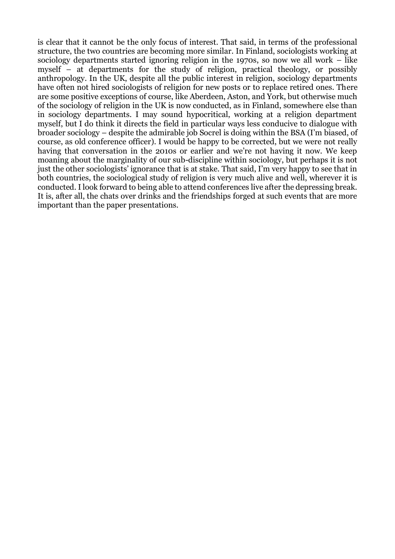is clear that it cannot be the only focus of interest. That said, in terms of the professional structure, the two countries are becoming more similar. In Finland, sociologists working at sociology departments started ignoring religion in the 1970s, so now we all work – like myself – at departments for the study of religion, practical theology, or possibly anthropology. In the UK, despite all the public interest in religion, sociology departments have often not hired sociologists of religion for new posts or to replace retired ones. There are some positive exceptions of course, like Aberdeen, Aston, and York, but otherwise much of the sociology of religion in the UK is now conducted, as in Finland, somewhere else than in sociology departments. I may sound hypocritical, working at a religion department myself, but I do think it directs the field in particular ways less conducive to dialogue with broader sociology – despite the admirable job Socrel is doing within the BSA (I'm biased, of course, as old conference officer). I would be happy to be corrected, but we were not really having that conversation in the 2010s or earlier and we're not having it now. We keep moaning about the marginality of our sub-discipline within sociology, but perhaps it is not just the other sociologists' ignorance that is at stake. That said, I'm very happy to see that in both countries, the sociological study of religion is very much alive and well, wherever it is conducted. I look forward to being able to attend conferences live after the depressing break. It is, after all, the chats over drinks and the friendships forged at such events that are more important than the paper presentations.